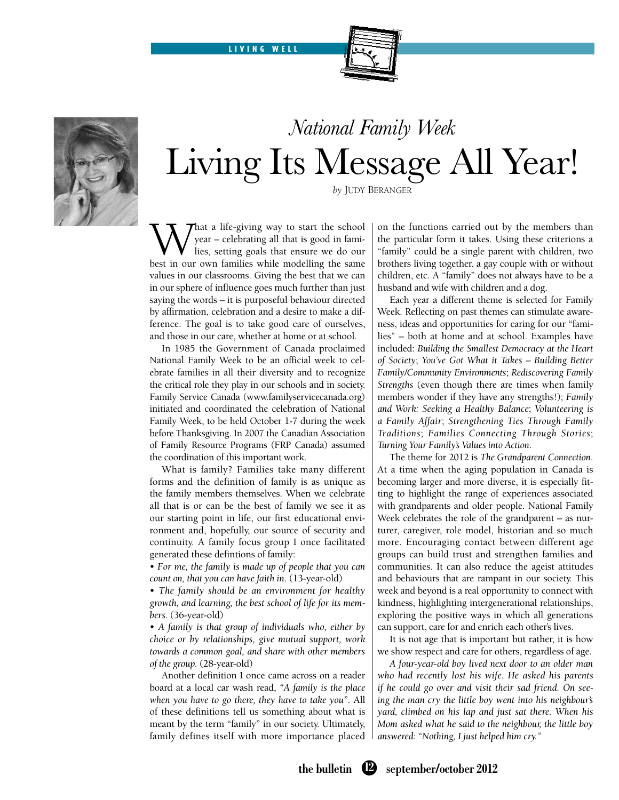LIVING WELL





# *National Family Week* Living Its Message All Year!

*by* Judy Beranger

What a life-giving way to start the school<br>year – celebrating all that is good in fami-<br>lies, setting goals that ensure we do our<br>best in our own families while modelling the same year – celebrating all that is good in families, setting goals that ensure we do our best in our own families while modelling the same values in our classrooms. Giving the best that we can in our sphere of influence goes much further than just saying the words – it is purposeful behaviour directed by affirmation, celebration and a desire to make a difference. The goal is to take good care of ourselves, and those in our care, whether at home or at school.

In 1985 the Government of Canada proclaimed National Family Week to be an official week to celebrate families in all their diversity and to recognize the critical role they play in our schools and in society. Family Service Canada (www.familyservicecanada.org) initiated and coordinated the celebration of National Family Week, to be held October 1-7 during the week before Thanksgiving. In 2007 the Canadian Association of Family Resource Programs (FRP Canada) assumed the coordination of this important work.

What is family? Families take many different forms and the definition of family is as unique as the family members themselves. When we celebrate all that is or can be the best of family we see it as our starting point in life, our first educational environment and, hopefully, our source of security and continuity. A family focus group I once facilitated generated these defintions of family:

• *For me, the family is made up of people that you can count on, that you can have faith in*. (13-year-old)

• *The family should be an environment for healthy growth, and learning, the best school of life for its members.* (36-year-old)

• *A family is that group of individuals who, either by choice or by relationships, give mutual support, work towards a common goal, and share with other members of the group.* (28-year-old)

Another definition I once came across on a reader board at a local car wash read, *"A family is the place when you have to go there, they have to take you"*. All of these definitions tell us something about what is meant by the term "family" in our society. Ultimately, family defines itself with more importance placed on the functions carried out by the members than the particular form it takes. Using these criterions a "family" could be a single parent with children, two brothers living together, a gay couple with or without children, etc. A "family" does not always have to be a husband and wife with children and a dog.

Each year a different theme is selected for Family Week. Reflecting on past themes can stimulate awareness, ideas and opportunities for caring for our "families" – both at home and at school. Examples have included: *Building the Smallest Democracy at the Heart of Society*; *You've Got What it Takes – Building Better Family/Community Environments*; *Rediscovering Family Strengths* (even though there are times when family members wonder if they have any strengths!); *Family and Work: Seeking a Healthy Balance*; *Volunteering is a Family Affair*; *Strengthening Ties Through Family Traditions*; *Families Connecting Through Stories*; *Turning Your Family's Values into Action*.

The theme for 2012 is *The Grandparent Connection*. At a time when the aging population in Canada is becoming larger and more diverse, it is especially fitting to highlight the range of experiences associated with grandparents and older people. National Family Week celebrates the role of the grandparent – as nurturer, caregiver, role model, historian and so much more. Encouraging contact between different age groups can build trust and strengthen families and communities. It can also reduce the ageist attitudes and behaviours that are rampant in our society. This week and beyond is a real opportunity to connect with kindness, highlighting intergenerational relationships, exploring the positive ways in which all generations can support, care for and enrich each other's lives.

It is not age that is important but rather, it is how we show respect and care for others, regardless of age.

*A four-year-old boy lived next door to an older man who had recently lost his wife. He asked his parents if he could go over and visit their sad friend. On seeing the man cry the little boy went into his neighbour's yard, climbed on his lap and just sat there. When his Mom asked what he said to the neighbour, the little boy answered: "Nothing, I just helped him cry."*